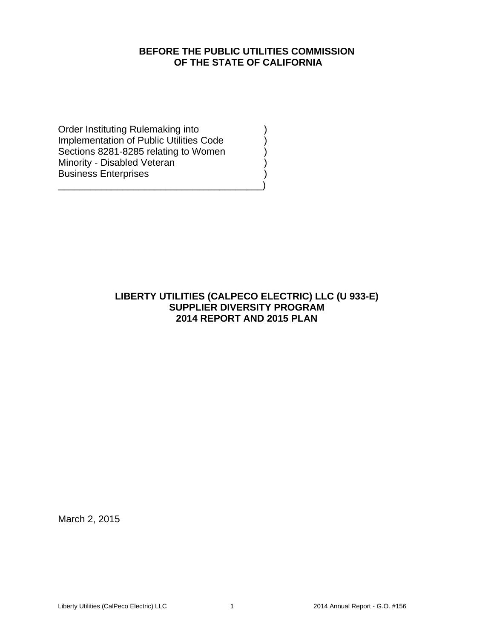# **BEFORE THE PUBLIC UTILITIES COMMISSION OF THE STATE OF CALIFORNIA**

Order Instituting Rulemaking into ) Implementation of Public Utilities Code ) Sections 8281-8285 relating to Women Minority - Disabled Veteran (1999) Business Enterprises )

\_\_\_\_\_\_\_\_\_\_\_\_\_\_\_\_\_\_\_\_\_\_\_\_\_\_\_\_\_\_\_\_\_\_\_\_\_\_)

# **LIBERTY UTILITIES (CALPECO ELECTRIC) LLC (U 933-E) SUPPLIER DIVERSITY PROGRAM 2014 REPORT AND 2015 PLAN**

March 2, 2015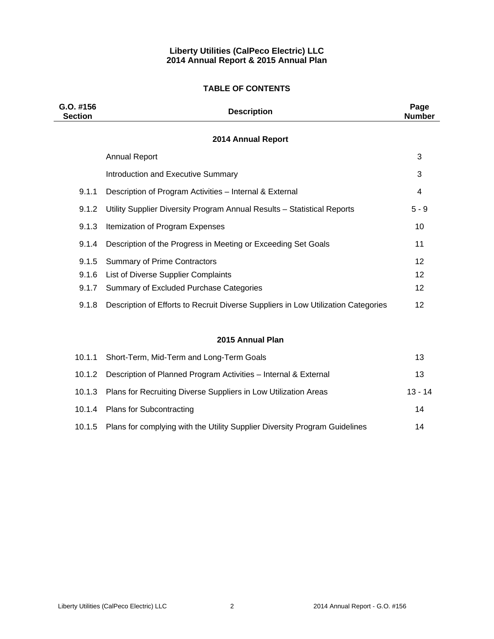## **Liberty Utilities (CalPeco Electric) LLC 2014 Annual Report & 2015 Annual Plan**

### **TABLE OF CONTENTS**

| $G.0.$ #156<br><b>Section</b> | <b>Description</b>                                                                | Page<br><b>Number</b> |
|-------------------------------|-----------------------------------------------------------------------------------|-----------------------|
|                               | 2014 Annual Report                                                                |                       |
|                               | <b>Annual Report</b>                                                              | 3                     |
|                               | <b>Introduction and Executive Summary</b>                                         | 3                     |
| 9.1.1                         | Description of Program Activities - Internal & External                           | 4                     |
| 9.1.2                         | Utility Supplier Diversity Program Annual Results - Statistical Reports           | $5 - 9$               |
| 9.1.3                         | Itemization of Program Expenses                                                   | 10                    |
| 9.1.4                         | Description of the Progress in Meeting or Exceeding Set Goals                     | 11                    |
| 9.1.5                         | <b>Summary of Prime Contractors</b>                                               | 12                    |
| 9.1.6                         | List of Diverse Supplier Complaints                                               | 12                    |
| 9.1.7                         | Summary of Excluded Purchase Categories                                           | 12                    |
| 9.1.8                         | Description of Efforts to Recruit Diverse Suppliers in Low Utilization Categories | 12                    |
|                               | 2015 Annual Plan                                                                  |                       |
| 10.1.1                        | Short-Term, Mid-Term and Long-Term Goals                                          | 13                    |
| 10.1.2                        | Description of Planned Program Activities - Internal & External                   | 13                    |
| 10.1.3                        | Plans for Recruiting Diverse Suppliers in Low Utilization Areas                   | $13 - 14$             |

10.1.4 Plans for Subcontracting 14 10.1.5 Plans for complying with the Utility Supplier Diversity Program Guidelines 14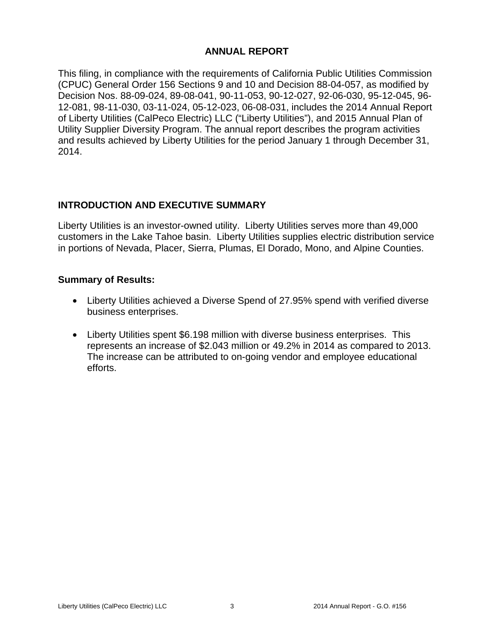# **ANNUAL REPORT**

This filing, in compliance with the requirements of California Public Utilities Commission (CPUC) General Order 156 Sections 9 and 10 and Decision 88-04-057, as modified by Decision Nos. 88-09-024, 89-08-041, 90-11-053, 90-12-027, 92-06-030, 95-12-045, 96- 12-081, 98-11-030, 03-11-024, 05-12-023, 06-08-031, includes the 2014 Annual Report of Liberty Utilities (CalPeco Electric) LLC ("Liberty Utilities"), and 2015 Annual Plan of Utility Supplier Diversity Program. The annual report describes the program activities and results achieved by Liberty Utilities for the period January 1 through December 31, 2014.

# **INTRODUCTION AND EXECUTIVE SUMMARY**

Liberty Utilities is an investor-owned utility. Liberty Utilities serves more than 49,000 customers in the Lake Tahoe basin. Liberty Utilities supplies electric distribution service in portions of Nevada, Placer, Sierra, Plumas, El Dorado, Mono, and Alpine Counties.

# **Summary of Results:**

- Liberty Utilities achieved a Diverse Spend of 27.95% spend with verified diverse business enterprises.
- Liberty Utilities spent \$6.198 million with diverse business enterprises. This represents an increase of \$2.043 million or 49.2% in 2014 as compared to 2013. The increase can be attributed to on-going vendor and employee educational efforts.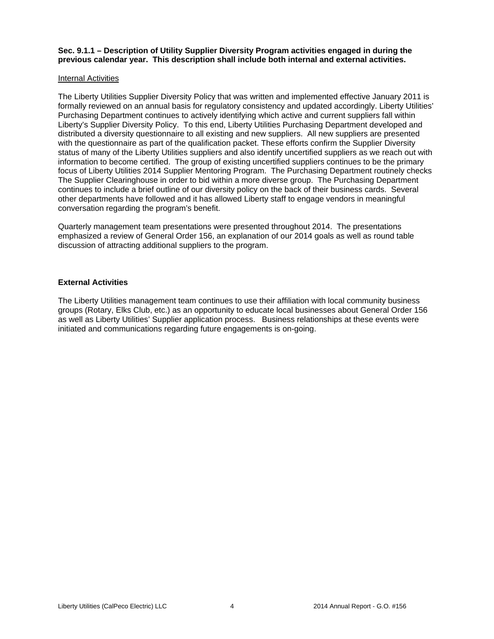**Sec. 9.1.1 – Description of Utility Supplier Diversity Program activities engaged in during the previous calendar year. This description shall include both internal and external activities.** 

### Internal Activities

The Liberty Utilities Supplier Diversity Policy that was written and implemented effective January 2011 is formally reviewed on an annual basis for regulatory consistency and updated accordingly. Liberty Utilities' Purchasing Department continues to actively identifying which active and current suppliers fall within Liberty's Supplier Diversity Policy. To this end, Liberty Utilities Purchasing Department developed and distributed a diversity questionnaire to all existing and new suppliers. All new suppliers are presented with the questionnaire as part of the qualification packet. These efforts confirm the Supplier Diversity status of many of the Liberty Utilities suppliers and also identify uncertified suppliers as we reach out with information to become certified. The group of existing uncertified suppliers continues to be the primary focus of Liberty Utilities 2014 Supplier Mentoring Program. The Purchasing Department routinely checks The Supplier Clearinghouse in order to bid within a more diverse group. The Purchasing Department continues to include a brief outline of our diversity policy on the back of their business cards. Several other departments have followed and it has allowed Liberty staff to engage vendors in meaningful conversation regarding the program's benefit.

Quarterly management team presentations were presented throughout 2014. The presentations emphasized a review of General Order 156, an explanation of our 2014 goals as well as round table discussion of attracting additional suppliers to the program.

### **External Activities**

The Liberty Utilities management team continues to use their affiliation with local community business groups (Rotary, Elks Club, etc.) as an opportunity to educate local businesses about General Order 156 as well as Liberty Utilities' Supplier application process. Business relationships at these events were initiated and communications regarding future engagements is on-going.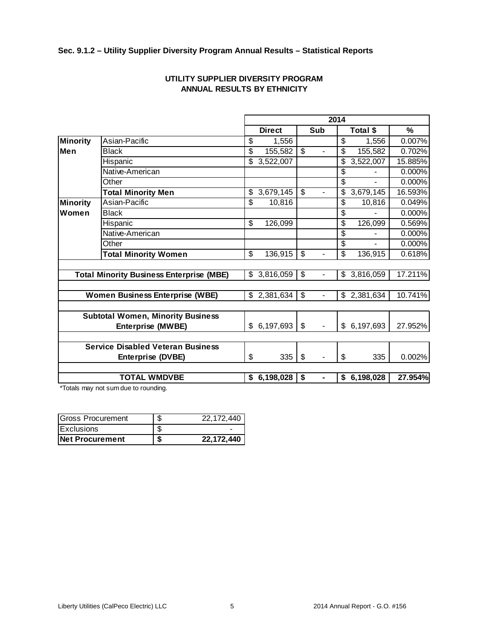## **Sec. 9.1.2 – Utility Supplier Diversity Program Annual Results – Statistical Reports**

|                 |                                                 |                          |               |                          | 2014           |                 |         |
|-----------------|-------------------------------------------------|--------------------------|---------------|--------------------------|----------------|-----------------|---------|
|                 |                                                 |                          | <b>Direct</b> |                          | Sub            | Total \$        | $\%$    |
| <b>Minority</b> | Asian-Pacific                                   | \$                       | 1,556         |                          |                | \$<br>1,556     | 0.007%  |
| Men             | <b>Black</b>                                    | \$                       | 155,582       | $\overline{\mathbb{S}}$  |                | \$<br>155,582   | 0.702%  |
|                 | Hispanic                                        | \$                       | 3,522,007     |                          |                | \$<br>3,522,007 | 15.885% |
|                 | Native-American                                 |                          |               |                          |                | \$              | 0.000%  |
|                 | Other                                           |                          |               |                          |                | \$              | 0.000%  |
|                 | <b>Total Minority Men</b>                       | \$                       | 3,679,145     | \$                       | $\blacksquare$ | \$<br>3,679,145 | 16.593% |
| <b>Minority</b> | Asian-Pacific                                   | \$                       | 10,816        |                          |                | \$<br>10,816    | 0.049%  |
| Women           | <b>Black</b>                                    |                          |               |                          |                | \$              | 0.000%  |
|                 | Hispanic                                        | \$                       | 126,099       |                          |                | \$<br>126,099   | 0.569%  |
|                 | Native-American                                 |                          |               |                          |                | \$              | 0.000%  |
|                 | Other                                           |                          |               |                          |                | \$              | 0.000%  |
|                 | <b>Total Minority Women</b>                     | $\overline{\mathcal{G}}$ | 136,915       | \$                       | $\overline{a}$ | \$<br>136,915   | 0.618%  |
|                 |                                                 |                          |               |                          |                |                 |         |
|                 | <b>Total Minority Business Enterprise (MBE)</b> | \$                       | 3,816,059     | \$                       | $\blacksquare$ | \$<br>3,816,059 | 17.211% |
|                 |                                                 |                          |               |                          |                |                 |         |
|                 | <b>Women Business Enterprise (WBE)</b>          | \$                       | 2,381,634     | $\overline{\mathcal{S}}$ | $\blacksquare$ | \$<br>2,381,634 | 10.741% |
|                 |                                                 |                          |               |                          |                |                 |         |
|                 | <b>Subtotal Women, Minority Business</b>        |                          |               |                          |                |                 |         |
|                 | <b>Enterprise (MWBE)</b>                        | \$                       | 6,197,693     | \$                       |                | \$<br>6,197,693 | 27.952% |
|                 |                                                 |                          |               |                          |                |                 |         |
|                 | <b>Service Disabled Veteran Business</b>        |                          |               |                          |                |                 |         |
|                 | <b>Enterprise (DVBE)</b>                        | \$                       | 335           | \$                       | $\overline{a}$ | \$<br>335       | 0.002%  |
|                 |                                                 |                          |               |                          |                |                 |         |
|                 | <b>TOTAL WMDVBE</b>                             |                          | \$6,198,028   | \$                       | $\blacksquare$ | \$6,198,028     | 27.954% |

## **UTILITY SUPPLIER DIVERSITY PROGRAM ANNUAL RESULTS BY ETHNICITY**

\*Totals may not sum due to rounding.

| <b>Gross Procurement</b> | Ф | 22.172.440 |
|--------------------------|---|------------|
| Exclusions               |   |            |
| INet Procurement         | J | 22,172,440 |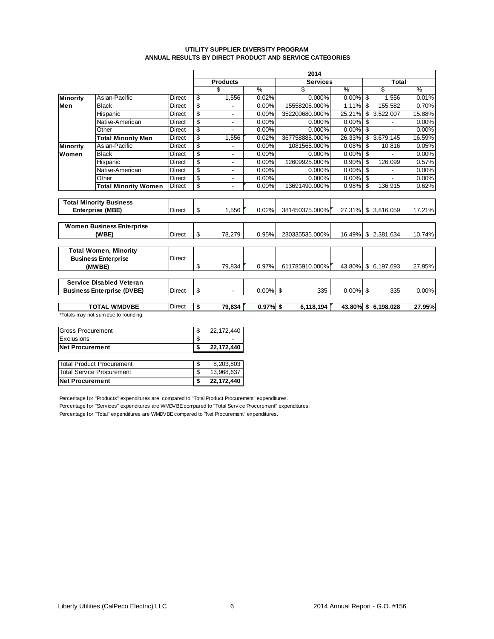### **UTILITY SUPPLIER DIVERSITY PROGRAM ANNUAL RESULTS BY DIRECT PRODUCT AND SERVICE CATEGORIES**

|                 |                                      |               | 2014 |                          |               |                 |               |                     |               |  |  |  |  |  |  |  |
|-----------------|--------------------------------------|---------------|------|--------------------------|---------------|-----------------|---------------|---------------------|---------------|--|--|--|--|--|--|--|
|                 |                                      |               |      | <b>Products</b>          |               | <b>Services</b> |               | Total               |               |  |  |  |  |  |  |  |
|                 |                                      |               |      | \$                       | $\frac{9}{6}$ | \$              | $\frac{9}{6}$ | \$                  | $\frac{0}{0}$ |  |  |  |  |  |  |  |
| <b>Minority</b> | Asian-Pacific                        | <b>Direct</b> | \$   | 1,556                    | 0.02%         | $0.000\%$       | $0.00\%$      | \$<br>1.556         | 0.01%         |  |  |  |  |  |  |  |
| Men             | <b>Black</b>                         | <b>Direct</b> | \$   |                          | 0.00%         | 15558205.000%   | 1.11%         | \$<br>155,582       | 0.70%         |  |  |  |  |  |  |  |
|                 | Hispanic                             | Direct        | \$   |                          | 0.00%         | 352200680.000%  | 25.21%        | 3,522,007<br>\$     | 15.88%        |  |  |  |  |  |  |  |
|                 | Native-American                      | <b>Direct</b> | \$   | $\overline{a}$           | 0.00%         | 0.000%          | 0.00%         | \$                  | 0.00%         |  |  |  |  |  |  |  |
|                 | Other                                |               | \$   |                          | 0.00%         | 0.000%          | 0.00%         | \$                  | 0.00%         |  |  |  |  |  |  |  |
|                 | <b>Total Minority Men</b>            | Direct        | \$   | 1,556                    | 0.02%         | 367758885.000%  | 26.33%        | \$<br>3,679,145     | 16.59%        |  |  |  |  |  |  |  |
| Minority        | Asian-Pacific                        | <b>Direct</b> | S    |                          | 0.00%         | 1081565.000%    | 0.08%         | \$<br>10,816        | 0.05%         |  |  |  |  |  |  |  |
| Women           | <b>Black</b>                         |               | \$   |                          | 0.00%         | $0.000\%$       | $0.00\%$      | \$                  | 0.00%         |  |  |  |  |  |  |  |
|                 | Hispanic                             | <b>Direct</b> | \$   | $\overline{a}$           | 0.00%         | 12609925.000%   | 0.90%         | \$<br>126.099       | 0.57%         |  |  |  |  |  |  |  |
|                 | Native-American                      | <b>Direct</b> | S    | $\blacksquare$           | 0.00%         | 0.000%          | 0.00%         | \$                  | 0.00%         |  |  |  |  |  |  |  |
|                 | Other                                | <b>Direct</b> | \$   | $\overline{\phantom{a}}$ | 0.00%         | 0.000%          | 0.00%         | \$                  | 0.00%         |  |  |  |  |  |  |  |
|                 | <b>Total Minority Women</b>          | <b>Direct</b> | \$   | $\overline{\phantom{a}}$ | 0.00%         | 13691490.000%   | 0.98%         | \$<br>136,915       | 0.62%         |  |  |  |  |  |  |  |
|                 |                                      |               |      |                          |               |                 |               |                     |               |  |  |  |  |  |  |  |
|                 | <b>Total Minority Business</b>       |               |      |                          |               |                 |               |                     |               |  |  |  |  |  |  |  |
|                 | Enterprise (MBE)                     | <b>Direct</b> | \$   | 1.556                    | 0.02%         | 381450375.000%  | 27.31%        | \$3,816,059         | 17.21%        |  |  |  |  |  |  |  |
|                 |                                      |               |      |                          |               |                 |               |                     |               |  |  |  |  |  |  |  |
|                 | <b>Women Business Enterprise</b>     |               |      |                          |               |                 |               |                     |               |  |  |  |  |  |  |  |
|                 | (WBE)                                | Direct        | \$   | 78,279                   | 0.95%         | 230335535.000%  | 16.49%        | \$2,381,634         | 10.74%        |  |  |  |  |  |  |  |
|                 |                                      |               |      |                          |               |                 |               |                     |               |  |  |  |  |  |  |  |
|                 | <b>Total Women, Minority</b>         |               |      |                          |               |                 |               |                     |               |  |  |  |  |  |  |  |
|                 | <b>Business Enterprise</b>           | <b>Direct</b> |      |                          |               |                 |               |                     |               |  |  |  |  |  |  |  |
|                 | (MWBE)                               |               | \$   | 79.834                   | 0.97%         | 611785910.000%  | 43.80%        | \$ 6,197,693        | 27.95%        |  |  |  |  |  |  |  |
|                 |                                      |               |      |                          |               |                 |               |                     |               |  |  |  |  |  |  |  |
|                 | <b>Service Disabled Veteran</b>      |               |      |                          |               |                 |               |                     |               |  |  |  |  |  |  |  |
|                 | <b>Business Enterprise (DVBE)</b>    | <b>Direct</b> | \$   |                          | $0.00\%$ \$   | 335             | 0.00%         | \$<br>335           | 0.00%         |  |  |  |  |  |  |  |
|                 |                                      |               |      |                          |               |                 |               |                     |               |  |  |  |  |  |  |  |
|                 | <b>TOTAL WMDVBE</b>                  | <b>Direct</b> | \$   | 79.834                   | $0.97%$ \$    | 6.118.194       |               | 43.80% \$ 6,198,028 | 27.95%        |  |  |  |  |  |  |  |
|                 | *Totals may not sum due to rounding. |               |      |                          |               |                 |               |                     |               |  |  |  |  |  |  |  |

| <b>Net Procurement</b>            |   | 22,172,440 |
|-----------------------------------|---|------------|
| <b>ITotal Service Procurement</b> | S | 13,968,637 |
| Total Product Procurement         | S | 8,203,803  |
|                                   |   |            |
| Net Procurement                   |   | 22,172,440 |
| Exclusions                        | S |            |
| <b>IGross Procurement</b>         | S | 22,172,440 |

Percentage for "Products" expenditures are compared to "Total Product Procurement" expenditures. Percentage for "Services" expenditures are WMDVBE compared to "Total Service Procurement" expenditures. Percentage for "Total" expenditures are WMDVBE compared to "Net Procurement" expenditures.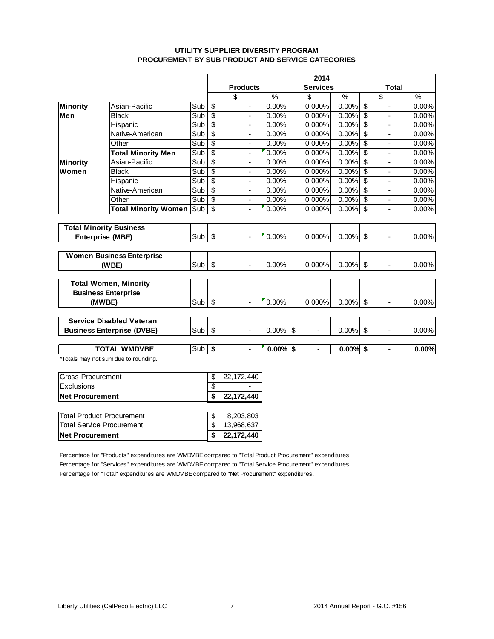### **UTILITY SUPPLIER DIVERSITY PROGRAM PROCUREMENT BY SUB PRODUCT AND SERVICE CATEGORIES**

|                          |                                      |          | 2014                      |                          |               |                 |               |                          |                |               |  |  |  |  |  |  |
|--------------------------|--------------------------------------|----------|---------------------------|--------------------------|---------------|-----------------|---------------|--------------------------|----------------|---------------|--|--|--|--|--|--|
|                          |                                      |          |                           | <b>Products</b>          |               | <b>Services</b> |               |                          | Total          |               |  |  |  |  |  |  |
|                          |                                      |          |                           | \$                       | $\frac{9}{6}$ | \$              | $\frac{0}{6}$ | \$                       |                | $\frac{9}{6}$ |  |  |  |  |  |  |
| <b>Minority</b>          | Asian-Pacific                        | Sub      | \$                        | $\blacksquare$           | 0.00%         | 0.000%          | 0.00%         | $\overline{\mathcal{S}}$ |                | 0.00%         |  |  |  |  |  |  |
| Men                      | <b>Black</b>                         | Sub      | \$                        | $\blacksquare$           | 0.00%         | 0.000%          | $0.00\%$ \$   |                          | ä,             | 0.00%         |  |  |  |  |  |  |
|                          | Hispanic                             | Sub      | \$                        | ÷,                       | 0.00%         | 0.000%          | 0.00%         | $\overline{\mathcal{S}}$ | ä,             | 0.00%         |  |  |  |  |  |  |
|                          | Native-American                      | Sub      | $\overline{\mathbb{S}}$   | $\overline{\phantom{m}}$ | 0.00%         | 0.000%          | 0.00%         | $\overline{\mathcal{S}}$ | ٠              | 0.00%         |  |  |  |  |  |  |
|                          | Other                                | Sub      | \$                        | $\overline{\phantom{a}}$ | 0.00%         | 0.000%          | 0.00%         | \$                       | ٠              | 0.00%         |  |  |  |  |  |  |
|                          | <b>Total Minority Men</b>            | Sub      | $\overline{\$}$           | $\overline{\phantom{a}}$ | 0.00%         | 0.000%          | 0.00%         | $\overline{\mathcal{S}}$ | ä,             | 0.00%         |  |  |  |  |  |  |
| <b>Minority</b>          | Asian-Pacific                        | Sub      | $\overline{\$}$           | $\blacksquare$           | 0.00%         | 0.000%          | $0.00\%$ \$   |                          |                | 0.00%         |  |  |  |  |  |  |
| Women                    | <b>Black</b>                         | Sub      | \$                        | $\overline{\phantom{a}}$ | 0.00%         | 0.000%          | 0.00%         | $\overline{\mathcal{S}}$ | ä,             | 0.00%         |  |  |  |  |  |  |
|                          | Hispanic                             | Sub      | $\overline{\$}$           | $\overline{\phantom{a}}$ | 0.00%         | 0.000%          | 0.00%         | $\overline{\mathbf{s}}$  | ٠              | 0.00%         |  |  |  |  |  |  |
|                          | Native-American                      | Sub      | $\overline{\$}$           | $\blacksquare$           | 0.00%         | 0.000%          | 0.00%         | $\overline{\mathcal{S}}$ | $\overline{a}$ | 0.00%         |  |  |  |  |  |  |
|                          | Other                                | Sub      | $\overline{\$}$           | $\overline{\phantom{a}}$ | 0.00%         | 0.000%          | $0.00\%$ \$   |                          | ä,             | 0.00%         |  |  |  |  |  |  |
|                          | <b>Total Minority Women</b>          | Sub      | $\overline{\$}$           | $\overline{a}$           | 0.00%         | 0.000%          | 0.00%         | \$                       | ÷,             | 0.00%         |  |  |  |  |  |  |
|                          |                                      |          |                           |                          |               |                 |               |                          |                |               |  |  |  |  |  |  |
|                          | <b>Total Minority Business</b>       |          |                           |                          |               |                 |               |                          |                |               |  |  |  |  |  |  |
|                          | Enterprise (MBE)                     | Sub      | \$                        | $\overline{\phantom{a}}$ | 0.00%         | 0.000%          | 0.00%         | \$                       | ä,             | 0.00%         |  |  |  |  |  |  |
|                          |                                      |          |                           |                          |               |                 |               |                          |                |               |  |  |  |  |  |  |
|                          | <b>Women Business Enterprise</b>     |          |                           |                          |               |                 |               |                          |                |               |  |  |  |  |  |  |
|                          | (WBE)                                | Sub      | \$                        |                          | 0.00%         | 0.000%          | $0.00\%$ \$   |                          |                | 0.00%         |  |  |  |  |  |  |
|                          |                                      |          |                           |                          |               |                 |               |                          |                |               |  |  |  |  |  |  |
|                          | <b>Total Women, Minority</b>         |          |                           |                          |               |                 |               |                          |                |               |  |  |  |  |  |  |
|                          | <b>Business Enterprise</b>           |          |                           |                          |               |                 |               |                          |                |               |  |  |  |  |  |  |
|                          | (MWBE)                               | Sub      | $\boldsymbol{\mathsf{S}}$ |                          | 0.00%         | 0.000%          | $0.00\%$ \$   |                          |                | 0.00%         |  |  |  |  |  |  |
|                          |                                      |          |                           |                          |               |                 |               |                          |                |               |  |  |  |  |  |  |
|                          | <b>Service Disabled Veteran</b>      |          |                           |                          |               |                 |               |                          |                |               |  |  |  |  |  |  |
|                          | <b>Business Enterprise (DVBE)</b>    | Sub      | \$                        | $\blacksquare$           | 0.00%         | -\$<br>ä,       | 0.00%         | \$                       |                | 0.00%         |  |  |  |  |  |  |
|                          |                                      |          |                           |                          |               |                 |               |                          |                |               |  |  |  |  |  |  |
|                          | <b>TOTAL WMDVBE</b>                  | $Sub$ \$ |                           | $\blacksquare$           | $0.00%$ \$    | ÷               | $0.00%$ \$    |                          | $\blacksquare$ | 0.00%         |  |  |  |  |  |  |
|                          | *Totals may not sum due to rounding. |          |                           |                          |               |                 |               |                          |                |               |  |  |  |  |  |  |
|                          |                                      |          |                           |                          |               |                 |               |                          |                |               |  |  |  |  |  |  |
| <b>Gross Procurement</b> |                                      |          | \$                        | 22, 172, 440             |               |                 |               |                          |                |               |  |  |  |  |  |  |
| Exclusions               |                                      |          | \$                        |                          |               |                 |               |                          |                |               |  |  |  |  |  |  |

| <b>Net Procurement</b>           | 22,172,440 |
|----------------------------------|------------|
|                                  |            |
| <b>Total Product Procurement</b> | 8.203.803  |
| Total Service Procurement        | 13,968,637 |
| <b>Net Procurement</b>           | 22,172,440 |

Percentage for "Products" expenditures are WMDVBE compared to "Total Product Procurement" expenditures. Percentage for "Services" expenditures are WMDVBE compared to "Total Service Procurement" expenditures. Percentage for "Total" expenditures are WMDVBE compared to "Net Procurement" expenditures.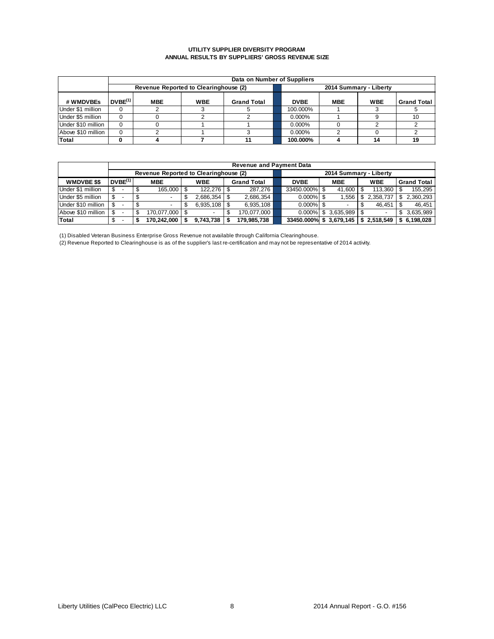#### **UTILITY SUPPLIER DIVERSITY PROGRAM ANNUAL RESULTS BY SUPPLIERS' GROSS REVENUE SIZE**

|                    |                     |                                       |            | Data on Number of Suppliers |                        |             |            |            |                    |  |  |  |  |  |
|--------------------|---------------------|---------------------------------------|------------|-----------------------------|------------------------|-------------|------------|------------|--------------------|--|--|--|--|--|
|                    |                     | Revenue Reported to Clearinghouse (2) |            |                             | 2014 Summary - Liberty |             |            |            |                    |  |  |  |  |  |
| # WMDVBEs          | DVBE <sup>(1)</sup> | <b>MBE</b>                            | <b>WBE</b> | <b>Grand Total</b>          |                        | <b>DVBE</b> | <b>MBE</b> | <b>WBE</b> | <b>Grand Total</b> |  |  |  |  |  |
| Under \$1 million  | $\Omega$            |                                       |            |                             |                        | 100.000%    |            |            |                    |  |  |  |  |  |
| Under \$5 million  | 0                   |                                       |            |                             |                        | 0.000%      |            |            |                    |  |  |  |  |  |
| Under \$10 million | $\Omega$            |                                       |            |                             |                        | $0.000\%$   |            |            |                    |  |  |  |  |  |
| Above \$10 million | 0                   |                                       |            |                             |                        | $0.000\%$   |            |            |                    |  |  |  |  |  |
| Total              | 0                   |                                       |            |                             |                        | 100.000%    |            | 14         | 19                 |  |  |  |  |  |

|                    |                     |                                       |            |                    |  | <b>Revenue and Payment Data</b> |  |                        |                        |   |             |     |                    |
|--------------------|---------------------|---------------------------------------|------------|--------------------|--|---------------------------------|--|------------------------|------------------------|---|-------------|-----|--------------------|
|                    |                     | Revenue Reported to Clearinghouse (2) |            |                    |  |                                 |  |                        | 2014 Summary - Liberty |   |             |     |                    |
| <b>WMDVBE \$\$</b> | DVBE <sup>(1)</sup> | <b>MBE</b>                            | <b>WBE</b> |                    |  | <b>Grand Total</b>              |  | <b>DVBE</b>            | <b>MBE</b>             |   | <b>WBE</b>  |     | <b>Grand Total</b> |
| Under \$1 million  |                     | 165.000                               |            |                    |  | 287.276                         |  | 33450.000% \$          | 41.600                 |   | 113.360     |     | 155.295            |
| Under \$5 million  |                     | $\overline{\phantom{0}}$              |            | $2.686.354$ \ \$   |  | 2,686,354                       |  | $0.000\%$ \$           | .556                   | S | 2.358.737   |     | 2.360.293          |
| Under \$10 million |                     |                                       |            | $6.935.108$ \ \ \$ |  | 6.935.108                       |  | $0.000\%$ \$           |                        |   | 46.451      |     | 46.451             |
| Above \$10 million |                     | 170.077.000                           |            |                    |  | 170.077.000                     |  | $0.000\%$              | \$3.635.989            |   |             | \$. | 3.635.989          |
| Total              |                     | 170.242.000                           |            | 9.743.738          |  | 179.985.738                     |  | 33450.000% \$3,679,145 |                        |   | \$2,518,549 |     | \$ 6,198,028       |

(1) Disabled Veteran Business Enterprise Gross Revenue not available through California Clearinghouse.

(2) Revenue Reported to Clearinghouse is as of the supplier's last re-certification and may not be representative of 2014 activity.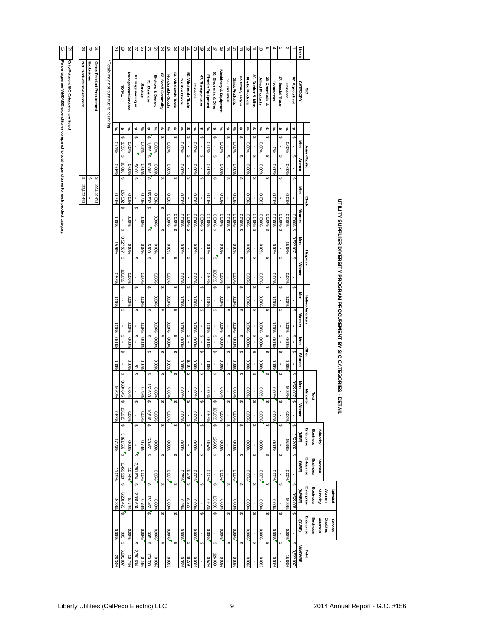# 34 35

| j                                          |                                         |
|--------------------------------------------|-----------------------------------------|
|                                            |                                         |
| i<br>District                              | Only Relavent SIC Categories are listed |
| i                                          |                                         |
| ֖֖֖֪ׅ֪֪ׅ֪ׅ֪֪ׅ֖֚֚֚֚֚֚֚֚֚֚֚֬֝֝֝֝֝֝֝֬֝֝֬֝֬֝֬֝ |                                         |
|                                            |                                         |
|                                            |                                         |

| elavent SIC<br>3     |  |
|----------------------|--|
| Categories are liste |  |
|                      |  |

| 35<br>Ά                                                                                                                                  | 33                      | ಜ          | ین                        |                                     | క               | 3                  | 28                  | 27                | 9Z                | 25            | R                            | 23                 | ĸ                                       | ಜ               | Z<br>$\overline{z}$      | $\approx$      | 5                  | ಹ                  |                        | ᅙ                     | ᇚ              | 声              | ದ                 | ಸ                |                   | ಕ               |                                |                   |                  |                     | Line#           |                   |                             |          |          |                                                                           |  |
|------------------------------------------------------------------------------------------------------------------------------------------|-------------------------|------------|---------------------------|-------------------------------------|-----------------|--------------------|---------------------|-------------------|-------------------|---------------|------------------------------|--------------------|-----------------------------------------|-----------------|--------------------------|----------------|--------------------|--------------------|------------------------|-----------------------|----------------|----------------|-------------------|------------------|-------------------|-----------------|--------------------------------|-------------------|------------------|---------------------|-----------------|-------------------|-----------------------------|----------|----------|---------------------------------------------------------------------------|--|
| Percentages are WMDVBE expenditures compared to total expenditures for each product category.<br>Only Relavent SIC Categories are listed | Net Product Procurement | Exclusions | Gross Product Procurement | "Totals may not sum due to rounding |                 | TATAL              | Management Services | 87. Engineering & | Services          | 73. Business  | <b>Brokers &amp; Dealers</b> | 62. Sec & Commdity | 51. Wholesale Trade<br>Nondurable Goods | Durable Goods   | පු<br>Wholesale Trade    | Services       | 47. Transportation | Electric Equipment | 36. Electronic & Other | Machinery & Equipment | 35. Industrial | Glass Products | 32. Stone, Clay & | Plastic Products | 30. Rubber & Misc | Allied Products | Contractors<br>28. Chemicals & | 17. Special Trade | Services         | gŗ.<br>Agricultural | <b>CATEGORY</b> | SIC               |                             |          |          |                                                                           |  |
|                                                                                                                                          |                         |            |                           |                                     | $\%$            | $\pmb{\varphi}$    | %                   | ↮                 | $\%$              | ↮             | $\%$                         | ↮                  | $\%$<br>↮                               | $\%$            | $\pmb{\Leftrightarrow}$  | $\%$           | ↮                  | %                  | ↮                      | $\%$                  | $\pmb{\omega}$ | $\%$           | s                 | $\aleph$         | ↮                 | $\%$            | ↮                              | %                 | $\%$<br>↮        | ↮                   |                 |                   |                             |          |          |                                                                           |  |
|                                                                                                                                          |                         |            |                           |                                     | 0.01%           | 999'               | 0.00%               |                   | 801%              | 999'L         | 0.00%                        |                    | 96000                                   | 9600%           |                          | 9600           |                    | 0.00%              |                        | 9600'0                |                | 0.00%          |                   | 0.00%            |                   | 0.00%           |                                | 5%                | 0.00%            |                     | Men             |                   |                             |          |          |                                                                           |  |
|                                                                                                                                          |                         |            |                           |                                     | 0.05%           | <b>S</b><br>10,816 | 9600'0              | $00\,0\%$         | %900              | s<br>918'01   | 0.00%                        |                    | 9600'0                                  | 0.00%           |                          | 0.00%          | ⊌                  | 0.00%              |                        | 9600'0                |                | 0.00%          |                   | 0.00%            |                   | 0.00%           |                                | 9600'0            | 0.00%            |                     | Women           | Asian-Pacific     |                             |          |          |                                                                           |  |
|                                                                                                                                          | ↮<br>22, 172, 440       | s          | ↮<br>22, 172, 440         |                                     |                 | 155,582            |                     | ç,                | 0.70%             | ç,<br>155,582 | 0.00%                        | ⊌                  | 0.00%                                   | 0.00%           |                          | 0.00%          | U                  | 0.00%              |                        | 9600'0                |                | 0.00%          |                   | 960000           |                   | 0.00%           |                                | 0.00%             | $0.00\%$         |                     | Men             |                   |                             |          |          |                                                                           |  |
|                                                                                                                                          |                         |            |                           |                                     | 0.70%           |                    | 0.00%               |                   |                   |               |                              |                    |                                         |                 |                          |                |                    |                    |                        |                       |                |                |                   |                  |                   |                 |                                |                   |                  |                     |                 | Black             |                             |          |          |                                                                           |  |
|                                                                                                                                          |                         |            |                           |                                     | ,00%            | ų                  | 0.00%               |                   | 0.00%             |               | 0.00%                        |                    | 960000<br>960000                        | 0.000%<br>G,    | 960000                   | 960000         | 0.000%<br>ų        | 0.000%             | 0.000%                 | 96000'0               | 960000         | 0.000%         | 960000            | 0.000%           | 0.000%            | 0.000%          | 0.000%                         | 0.000%            | 0.000%<br>960000 | 0.000%              | Women           |                   |                             |          |          |                                                                           |  |
|                                                                                                                                          |                         |            |                           |                                     | 15.91%          | 3,527,507<br>S     | 0.00%               |                   | 0.02%             | 00S'<br>s,    | 96000                        |                    | %000                                    | 0.00%           |                          | %00%           | ç,                 | 9600'0             |                        | 96000                 |                | 0.00%          |                   | %00%             |                   | $0.00\%$        |                                | 96000             | 15.88%           | 3,522,007           | Men             |                   |                             |          |          |                                                                           |  |
|                                                                                                                                          |                         |            |                           |                                     | 0.57%           | 26,099             | 0.00%               |                   | 0.00%             |               | 0.00%                        |                    | 9600'0                                  | 0.00%           |                          | 0.00%          |                    | 0.57%              | 26,099                 | 9600'0                |                | 9600%          |                   | 0.00%            |                   | 0.00%           |                                | 0.00%             | 9600'0           |                     | <b>Momen</b>    | <b>Hispanic</b>   |                             |          |          | UTILITY SUPPLIER DIVERSITY PROGRAM PROCUREMENT BY SIC CATEGORIES - DETAIL |  |
|                                                                                                                                          |                         |            |                           |                                     | 0.00%           |                    | %00%                |                   | %000              | s             | 96000                        |                    | 96000                                   | s<br>0.00%      |                          | %00%           | ⊌                  | 0.00%              |                        | 96000                 |                | 9600'0         |                   | %00%             |                   | %00%            |                                | 96000             | $0.00\%$         |                     | Men             |                   |                             |          |          |                                                                           |  |
|                                                                                                                                          |                         |            |                           |                                     |                 |                    |                     |                   |                   |               |                              |                    |                                         |                 |                          |                |                    |                    |                        |                       |                |                |                   |                  |                   |                 |                                |                   |                  |                     | <b>Women</b>    | Native-American   |                             |          |          |                                                                           |  |
|                                                                                                                                          |                         |            |                           |                                     | 0.00%<br>9600'0 |                    | 0.00%<br>9600'0     |                   | 0.00%<br>$0.00\%$ | ł,            | 0.00%<br>96000               |                    | 0.00%<br>9600'0                         | 0.00%<br>9600'0 |                          | 0.00%<br>%00'0 |                    | 0.00%<br>%00%      |                        | 0.00%<br>0.00%        |                | 9600<br>9600'0 |                   | 0.00%<br>9600'0  |                   | 0.00%<br>960000 |                                | 0.00%<br>0.00%    | 0.00%<br>0.00%   |                     | Men             |                   |                             |          |          |                                                                           |  |
|                                                                                                                                          |                         |            |                           |                                     |                 |                    |                     |                   |                   |               |                              |                    |                                         |                 |                          |                |                    |                    |                        |                       |                |                |                   |                  |                   |                 |                                |                   |                  |                     | Women           | Other             |                             |          |          |                                                                           |  |
|                                                                                                                                          |                         |            |                           |                                     | %000            |                    | 0.00%               | $\mathfrak{S}$    | 9600'0            |               | 96000                        |                    | 0.00%<br>S                              | 9600'0          | $00\,08$                 | 0.00%          |                    | 0.00%              |                        | 0.00%                 |                | 0.00%          |                   | 96000            |                   | 0.00%           |                                | 96000             | %00%             |                     |                 |                   |                             |          |          |                                                                           |  |
|                                                                                                                                          |                         |            |                           |                                     | 16.62%          | ,684,645           | 0.00%               |                   | 0.73%             | 162,638       | 0.00%                        |                    | 0.00%                                   | 0.00%           | $\cdot$                  | %00%           |                    | $0.00\%$           |                        | $0.00\%$              |                | $0.00\%$       |                   | 96000            |                   | $0.00\%$        |                                | $0.00\%$          | 15.88%           | 3,522,007           | Men             | Minority          | <b>Total</b>                |          |          |                                                                           |  |
|                                                                                                                                          |                         |            |                           |                                     | 0.62%           | 136,915            | 0.00%               |                   | %90'0             | 10,816        | 9600'0                       |                    | s,<br>9600'0<br>×                       | 0.00%           | $\rightsquigarrow$<br>J, | 0.00%          | ↮                  | 0.57%              | 126,099                | 9600'0                |                | 9600'0         | ï                 | 9600'0           | ↮<br>$\epsilon$   | 9600'0          |                                | 0.00%             | 0.00%            | $\Leftrightarrow$   | Women           |                   |                             |          |          |                                                                           |  |
|                                                                                                                                          |                         |            |                           |                                     | 17.24%          | 3,821,559          | 0.00%               |                   | 0.78%             | ç,<br>173,453 | 0.00%                        | €                  | 0.00%                                   | G,<br>0.00%     | $\overline{\phantom{a}}$ | 9600.0         | U                  | 0.57%              | 126,099                | 0.00%                 | s              | 0.00%          |                   | 960010           |                   | 0.00%           |                                | 0.00%             | 15.88%           | ₩<br>3,522,007      | (JABE)          | Enterprise        | <b>Business</b><br>Minority |          |          |                                                                           |  |
|                                                                                                                                          |                         |            |                           |                                     |                 | 2,459,913          |                     | s,<br>2,381,634   |                   |               |                              | ų                  |                                         |                 | $\checkmark$             |                | s,                 |                    |                        |                       | ç,             |                |                   |                  |                   |                 |                                |                   |                  |                     | (JRBE)          | Enterprise        | <b>Business</b><br>Women    |          |          |                                                                           |  |
|                                                                                                                                          |                         |            |                           |                                     | 11.09%          |                    | 10.74%              |                   | %00%              | ç,            | $0.00\%$                     |                    | %000                                    | $0.35\%$        | 78,279<br>$\checkmark$   | 0.00%          | s,                 | 96000              |                        | 96000                 |                | $0.00\%$       |                   | %00%             |                   | $0.00\%$        |                                | 96000             | $0.00\%$         |                     |                 |                   |                             |          |          |                                                                           |  |
|                                                                                                                                          |                         |            |                           |                                     | 28.33%          | 6,281,472          | 10.74%              | 2,381,634         | 0.78%             | 173,453       | 9600'0                       |                    | 9600%                                   | 0.35%           | 78,279                   | 0.00%          | ų                  | 0.57%              | 126,099                | 9600'0                |                | 0.00%          |                   | 9600%            |                   | 9600'0          |                                | 0.00%             | 15.88%           | 3,522,007           | (MMBE)          | <b>Enterprise</b> | <b>Business</b><br>Minority | Women    | Subtotal |                                                                           |  |
|                                                                                                                                          |                         |            |                           |                                     | 0.00%           | $335\,$            | 0.00%               |                   | 960010            | 335           | 0.00%                        |                    | 0.00%                                   | 0.00%           |                          | 0.00%          |                    | 0.00%              |                        | 0.00%                 |                | 0.00%          |                   | 0.00%            |                   | 0.00%           |                                | 0.00%             | 0.00%            |                     | (DVBE)          | Enterprise        | <b>Business</b><br>Veterans | Disabled | Service  |                                                                           |  |
|                                                                                                                                          |                         |            |                           |                                     | 28.33%          | 6,281,807          | 10.74%              | .381,634          | 0.78%             | ų<br>173,788  | 0.00%                        |                    | S,<br>0.00%                             | $0.35\%$        | 78,279                   | 0.00%          | ų                  | 0.57%              | 126,099                | 0.00%                 |                | 0.00%          |                   | 0.00%            | ⊌                 | 0.00%           |                                | 0.00%             | 15.88%           | 3,522,007           | <b>MNDVBE</b>   | lab<br>1          |                             |          |          |                                                                           |  |
|                                                                                                                                          |                         |            |                           |                                     |                 |                    |                     |                   |                   |               |                              |                    |                                         |                 |                          |                |                    |                    |                        |                       |                |                |                   |                  |                   |                 |                                |                   |                  |                     |                 |                   |                             |          |          |                                                                           |  |
| Liberty Utilities (CalPeco Electric) LLC                                                                                                 |                         |            |                           |                                     |                 |                    |                     |                   |                   |               |                              |                    |                                         |                 |                          |                |                    |                    |                        |                       |                | 9              |                   |                  |                   |                 |                                |                   |                  |                     |                 |                   |                             |          |          | 2014 Annual Report - G.O. #156                                            |  |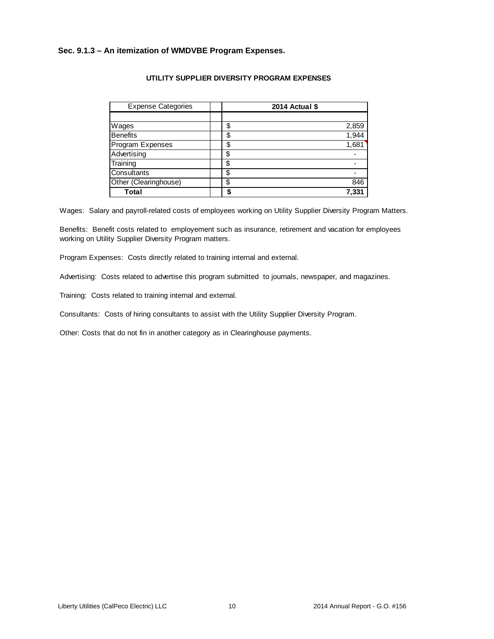### **Sec. 9.1.3 – An itemization of WMDVBE Program Expenses.**

| <b>Expense Categories</b> |    | 2014 Actual \$ |
|---------------------------|----|----------------|
|                           |    |                |
| Wages                     | \$ | 2,859          |
| <b>Benefits</b>           | \$ | 1,944          |
| Program Expenses          | \$ | 1,681          |
| Advertising               | \$ |                |
| Training                  | \$ |                |
| Consultants               | S  |                |
| Other (Clearinghouse)     | \$ | 846            |
| Total                     |    | 7,331          |

### **UTILITY SUPPLIER DIVERSITY PROGRAM EXPENSES**

Wages: Salary and payroll-related costs of employees working on Utility Supplier Diversity Program Matters.

Benefits: Benefit costs related to employement such as insurance, retirement and vacation for employees working on Utility Supplier Diversity Program matters.

Program Expenses: Costs directly related to training internal and external.

Advertising: Costs related to advertise this program submitted to journals, newspaper, and magazines.

Training: Costs related to training internal and external.

Consultants: Costs of hiring consultants to assist with the Utility Supplier Diversity Program.

Other: Costs that do not fin in another category as in Clearinghouse payments.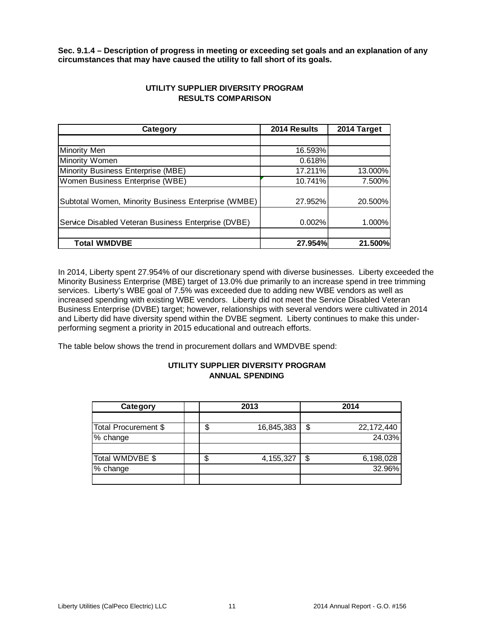**Sec. 9.1.4 – Description of progress in meeting or exceeding set goals and an explanation of any circumstances that may have caused the utility to fall short of its goals.** 

| Category                                            | 2014 Results | 2014 Target |
|-----------------------------------------------------|--------------|-------------|
|                                                     |              |             |
| <b>Minority Men</b>                                 | 16.593%      |             |
| Minority Women                                      | 0.618%       |             |
| Minority Business Enterprise (MBE)                  | 17.211%      | 13.000%     |
| Women Business Enterprise (WBE)                     | 10.741%      | 7.500%      |
| Subtotal Women, Minority Business Enterprise (WMBE) | 27.952%      | 20.500%     |
| Service Disabled Veteran Business Enterprise (DVBE) | 0.002%       | $1.000\%$   |
|                                                     |              |             |
| <b>Total WMDVBE</b>                                 | 27.954%      | 21.500%     |

### **UTILITY SUPPLIER DIVERSITY PROGRAM RESULTS COMPARISON**

In 2014, Liberty spent 27.954% of our discretionary spend with diverse businesses. Liberty exceeded the Minority Business Enterprise (MBE) target of 13.0% due primarily to an increase spend in tree trimming services. Liberty's WBE goal of 7.5% was exceeded due to adding new WBE vendors as well as increased spending with existing WBE vendors. Liberty did not meet the Service Disabled Veteran Business Enterprise (DVBE) target; however, relationships with several vendors were cultivated in 2014 and Liberty did have diversity spend within the DVBE segment. Liberty continues to make this underperforming segment a priority in 2015 educational and outreach efforts.

The table below shows the trend in procurement dollars and WMDVBE spend:

### **UTILITY SUPPLIER DIVERSITY PROGRAM ANNUAL SPENDING**

| Category             | 2013 |             | 2014 |              |
|----------------------|------|-------------|------|--------------|
|                      |      |             |      |              |
| Total Procurement \$ |      | 16,845,383  | \$   | 22, 172, 440 |
| % change             |      |             |      | 24.03%       |
|                      |      |             |      |              |
| Total WMDVBE \$      | S    | 4, 155, 327 | \$   | 6,198,028    |
| % change             |      |             |      | 32.96%       |
|                      |      |             |      |              |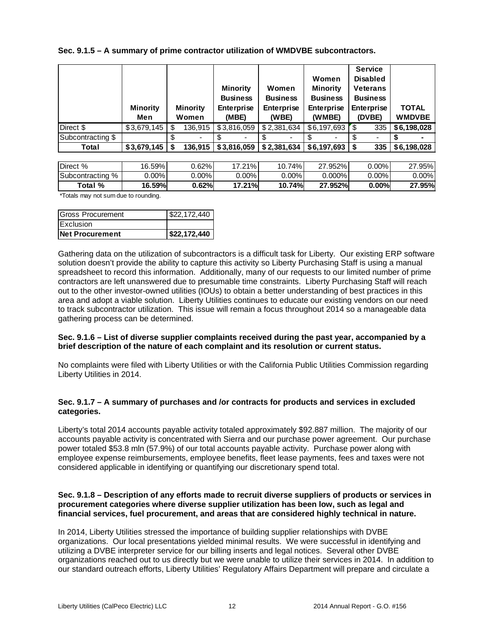**Sec. 9.1.5 – A summary of prime contractor utilization of WMDVBE subcontractors.**

|                   | <b>Minority</b><br>Men | <b>Minority</b><br>Women | <b>Minority</b><br><b>Business</b><br>Enterprise<br>(MBE) | Women<br><b>Business</b><br><b>Enterprise</b><br>(WBE) | Women<br><b>Minority</b><br><b>Business</b><br><b>Enterprise</b><br>(WMBE) | <b>Service</b><br><b>Disabled</b><br><b>Veterans</b><br><b>Business</b><br><b>Enterprise</b><br>(DVBE) | <b>TOTAL</b><br><b>WMDVBE</b> |
|-------------------|------------------------|--------------------------|-----------------------------------------------------------|--------------------------------------------------------|----------------------------------------------------------------------------|--------------------------------------------------------------------------------------------------------|-------------------------------|
| Direct \$         |                        | 136,915                  | \$3,816,059                                               | \$2,381,634                                            | \$6,197,693                                                                | 335<br>″\$                                                                                             | \$6,198,028                   |
| Subcontracting \$ |                        | -                        |                                                           |                                                        |                                                                            |                                                                                                        |                               |
| Total             |                        | 136.915                  | \$3,816,059                                               | \$2,381,634                                            | $$6.197.693 \, \,$ \$                                                      | 335                                                                                                    | \$6,198,028                   |

| Direct %            | 16.59%」 | $0.62\%$ | ່ 21% ເ<br>- 1 | 74%<br>10. | .952%<br>ົ | $0.00\%$ l | 27.95%        |
|---------------------|---------|----------|----------------|------------|------------|------------|---------------|
| Subcontracting<br>% | 0.00%   | $0.00\%$ | $0.00\%$ l     | $0.00\%$   | $0.000\%$  | $0.00\%$ l | $0.00\%$      |
| Total %             | 16.59%l | 0.62%    | 17.21%         | 10.74%     | 27.952%    | 0.00%      | 27.95%l<br>דר |

\*Totals may not sum due to rounding.

| Gross Procurement      | \$22,172,440 |
|------------------------|--------------|
| <b>IExclusion</b>      |              |
| <b>Net Procurement</b> | 522,172,440  |

Gathering data on the utilization of subcontractors is a difficult task for Liberty. Our existing ERP software solution doesn't provide the ability to capture this activity so Liberty Purchasing Staff is using a manual spreadsheet to record this information. Additionally, many of our requests to our limited number of prime contractors are left unanswered due to presumable time constraints. Liberty Purchasing Staff will reach out to the other investor-owned utilities (IOUs) to obtain a better understanding of best practices in this area and adopt a viable solution. Liberty Utilities continues to educate our existing vendors on our need to track subcontractor utilization. This issue will remain a focus throughout 2014 so a manageable data gathering process can be determined.

### **Sec. 9.1.6 – List of diverse supplier complaints received during the past year, accompanied by a brief description of the nature of each complaint and its resolution or current status.**

No complaints were filed with Liberty Utilities or with the California Public Utilities Commission regarding Liberty Utilities in 2014.

### **Sec. 9.1.7 – A summary of purchases and /or contracts for products and services in excluded categories.**

Liberty's total 2014 accounts payable activity totaled approximately \$92.887 million. The majority of our accounts payable activity is concentrated with Sierra and our purchase power agreement. Our purchase power totaled \$53.8 mln (57.9%) of our total accounts payable activity. Purchase power along with employee expense reimbursements, employee benefits, fleet lease payments, fees and taxes were not considered applicable in identifying or quantifying our discretionary spend total.

### **Sec. 9.1.8 – Description of any efforts made to recruit diverse suppliers of products or services in procurement categories where diverse supplier utilization has been low, such as legal and financial services, fuel procurement, and areas that are considered highly technical in nature.**

In 2014, Liberty Utilities stressed the importance of building supplier relationships with DVBE organizations. Our local presentations yielded minimal results. We were successful in identifying and utilizing a DVBE interpreter service for our billing inserts and legal notices. Several other DVBE organizations reached out to us directly but we were unable to utilize their services in 2014. In addition to our standard outreach efforts, Liberty Utilities' Regulatory Affairs Department will prepare and circulate a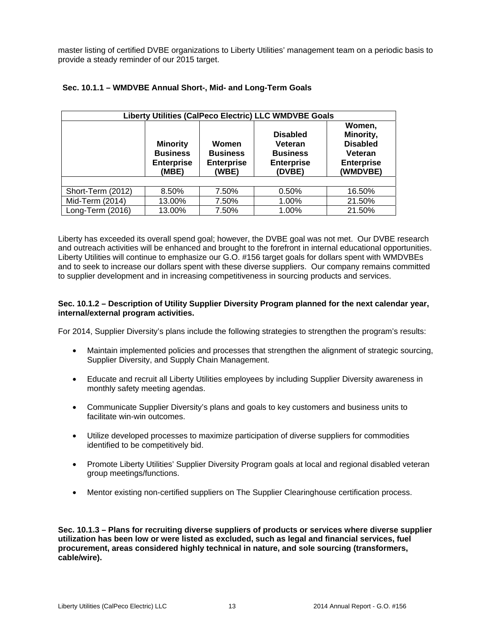master listing of certified DVBE organizations to Liberty Utilities' management team on a periodic basis to provide a steady reminder of our 2015 target.

| Liberty Utilities (CalPeco Electric) LLC WMDVBE Goals |                                                                                                                            |       |                                                                              |                                                                                    |  |  |
|-------------------------------------------------------|----------------------------------------------------------------------------------------------------------------------------|-------|------------------------------------------------------------------------------|------------------------------------------------------------------------------------|--|--|
|                                                       | <b>Minority</b><br>Women<br><b>Business</b><br><b>Business</b><br><b>Enterprise</b><br><b>Enterprise</b><br>(WBE)<br>(MBE) |       | <b>Disabled</b><br>Veteran<br><b>Business</b><br><b>Enterprise</b><br>(DVBE) | Women,<br>Minority,<br><b>Disabled</b><br>Veteran<br><b>Enterprise</b><br>(WMDVBE) |  |  |
|                                                       |                                                                                                                            |       |                                                                              |                                                                                    |  |  |
| Short-Term (2012)                                     | 8.50%                                                                                                                      | 7.50% | 0.50%                                                                        | 16.50%                                                                             |  |  |
| Mid-Term (2014)                                       | 13.00%                                                                                                                     | 7.50% | 1.00%                                                                        | 21.50%                                                                             |  |  |
| Long-Term (2016)                                      | 13.00%                                                                                                                     | 7.50% | 1.00%                                                                        | 21.50%                                                                             |  |  |

### **Sec. 10.1.1 – WMDVBE Annual Short-, Mid- and Long-Term Goals**

Liberty has exceeded its overall spend goal; however, the DVBE goal was not met. Our DVBE research and outreach activities will be enhanced and brought to the forefront in internal educational opportunities. Liberty Utilities will continue to emphasize our G.O. #156 target goals for dollars spent with WMDVBEs and to seek to increase our dollars spent with these diverse suppliers. Our company remains committed to supplier development and in increasing competitiveness in sourcing products and services.

### **Sec. 10.1.2 – Description of Utility Supplier Diversity Program planned for the next calendar year, internal/external program activities.**

For 2014, Supplier Diversity's plans include the following strategies to strengthen the program's results:

- Maintain implemented policies and processes that strengthen the alignment of strategic sourcing, Supplier Diversity, and Supply Chain Management.
- Educate and recruit all Liberty Utilities employees by including Supplier Diversity awareness in monthly safety meeting agendas.
- Communicate Supplier Diversity's plans and goals to key customers and business units to facilitate win-win outcomes.
- Utilize developed processes to maximize participation of diverse suppliers for commodities identified to be competitively bid.
- Promote Liberty Utilities' Supplier Diversity Program goals at local and regional disabled veteran group meetings/functions.
- Mentor existing non-certified suppliers on The Supplier Clearinghouse certification process.

**Sec. 10.1.3 – Plans for recruiting diverse suppliers of products or services where diverse supplier utilization has been low or were listed as excluded, such as legal and financial services, fuel procurement, areas considered highly technical in nature, and sole sourcing (transformers, cable/wire).**